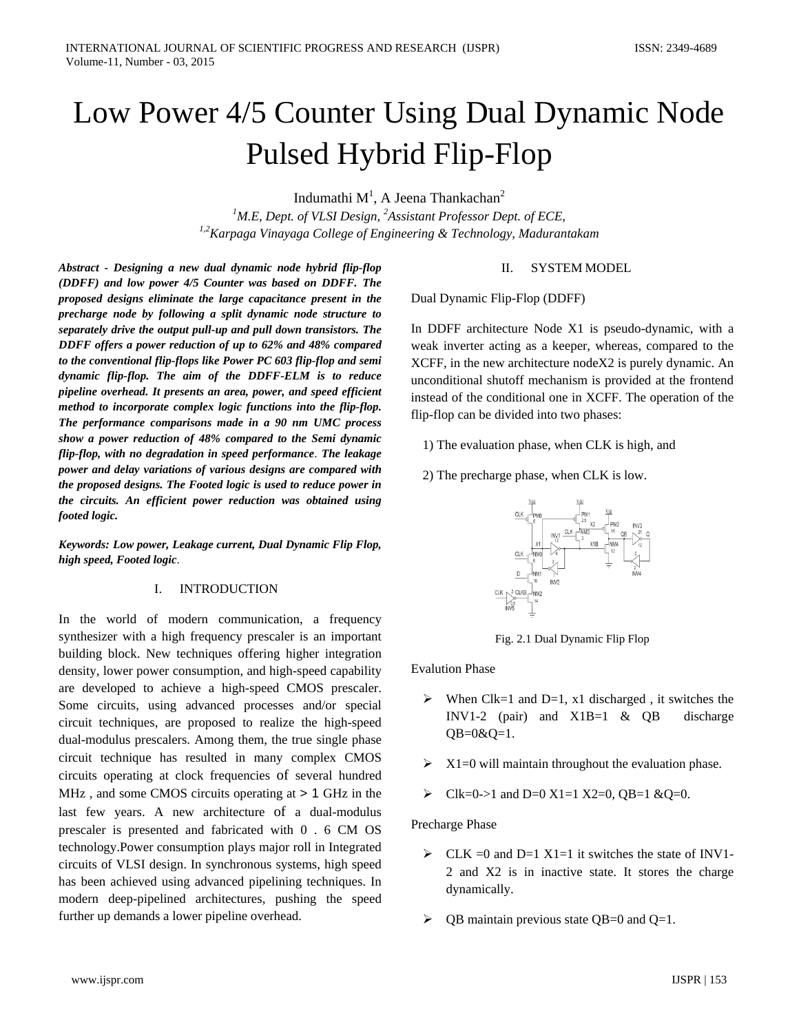# Low Power 4/5 Counter Using Dual Dynamic Node Pulsed Hybrid Flip-Flop

Indumathi M $^1$ , A Jeena Thankachan $^2$ 

*1 M.E, Dept. of VLSI Design, 2 Assistant Professor Dept. of ECE, 1,2Karpaga Vinayaga College of Engineering & Technology, Madurantakam*

*Abstract - Designing a new dual dynamic node hybrid flip-flop (DDFF) and low power 4/5 Counter was based on DDFF. The proposed designs eliminate the large capacitance present in the precharge node by following a split dynamic node structure to separately drive the output pull-up and pull down transistors. The DDFF offers a power reduction of up to 62% and 48% compared to the conventional flip-flops like Power PC 603 flip-flop and semi dynamic flip-flop. The aim of the DDFF-ELM is to reduce pipeline overhead. It presents an area, power, and speed efficient method to incorporate complex logic functions into the flip-flop. The performance comparisons made in a 90 nm UMC process show a power reduction of 48% compared to the Semi dynamic flip-flop, with no degradation in speed performance*. *The leakage power and delay variations of various designs are compared with the proposed designs. The Footed logic is used to reduce power in the circuits. An efficient power reduction was obtained using footed logic.*

*Keywords: Low power, Leakage current, Dual Dynamic Flip Flop, high speed, Footed logic*.

# I. INTRODUCTION

In the world of modern communication, a frequency synthesizer with a high frequency prescaler is an important building block. New techniques offering higher integration density, lower power consumption, and high-speed capability are developed to achieve a high-speed CMOS prescaler. Some circuits, using advanced processes and/or special circuit techniques, are proposed to realize the high-speed dual-modulus prescalers. Among them, the true single phase circuit technique has resulted in many complex CMOS circuits operating at clock frequencies of several hundred MHz, and some CMOS circuits operating at  $> 1$  GHz in the last few years. A new architecture of a dual-modulus prescaler is presented and fabricated with 0 . 6 CM OS technology.Power consumption plays major roll in Integrated circuits of VLSI design. In synchronous systems, high speed has been achieved using advanced pipelining techniques. In modern deep-pipelined architectures, pushing the speed further up demands a lower pipeline overhead.

## II. SYSTEM MODEL

Dual Dynamic Flip-Flop (DDFF)

In DDFF architecture Node X1 is pseudo-dynamic, with a weak inverter acting as a keeper, whereas, compared to the XCFF, in the new architecture nodeX2 is purely dynamic. An unconditional shutoff mechanism is provided at the frontend instead of the conditional one in XCFF. The operation of the flip-flop can be divided into two phases:

1) The evaluation phase, when CLK is high, and

2) The precharge phase, when CLK is low.



Fig. 2.1 Dual Dynamic Flip Flop

Evalution Phase

- $\triangleright$  When Clk=1 and D=1, x1 discharged, it switches the INV1-2 (pair) and X1B=1 & QB discharge  $QB=0&Q=1.$
- $\triangleright$  X1=0 will maintain throughout the evaluation phase.
- Clk=0->1 and D=0 X1=1 X2=0, QB=1 &Q=0.

Precharge Phase

- $\triangleright$  CLK =0 and D=1 X1=1 it switches the state of INV1-2 and X2 is in inactive state. It stores the charge dynamically.
- $\triangleright$  QB maintain previous state QB=0 and Q=1.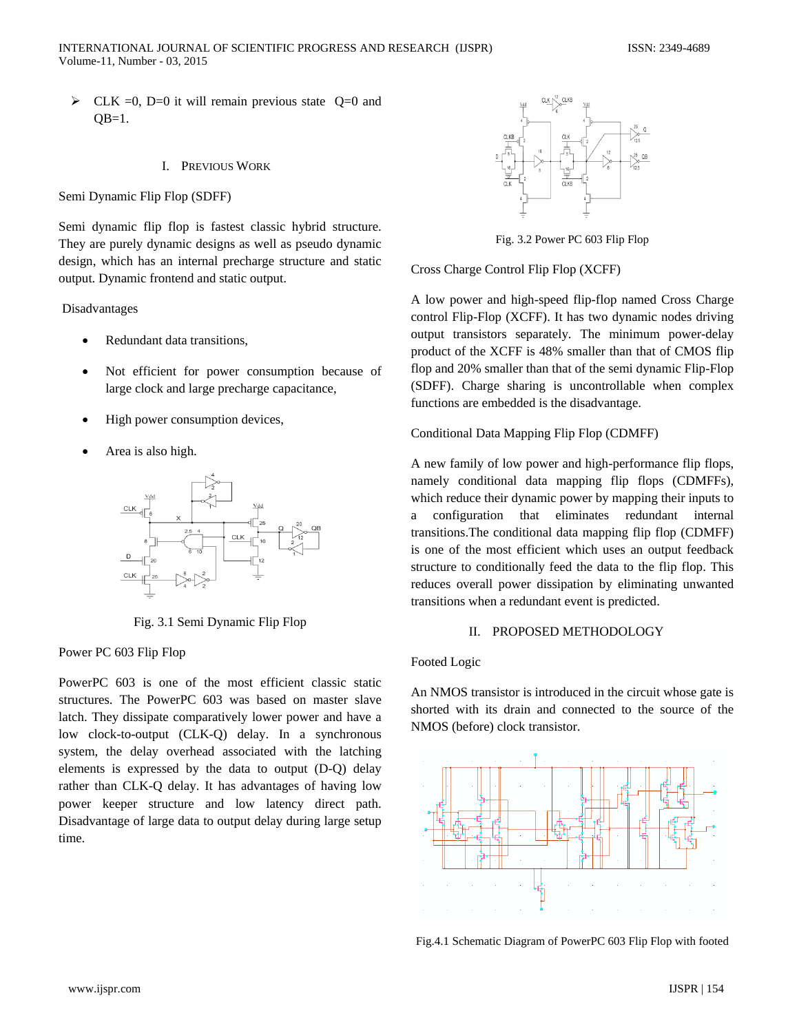$\triangleright$  CLK =0, D=0 it will remain previous state Q=0 and  $QB=1$ .

#### I. PREVIOUS WORK

Semi Dynamic Flip Flop (SDFF)

Semi dynamic flip flop is fastest classic hybrid structure. They are purely dynamic designs as well as pseudo dynamic design, which has an internal precharge structure and static output. Dynamic frontend and static output.

#### Disadvantages

- Redundant data transitions.
- Not efficient for power consumption because of large clock and large precharge capacitance,
- High power consumption devices,
- Area is also high.



Fig. 3.1 Semi Dynamic Flip Flop

Power PC 603 Flip Flop

PowerPC 603 is one of the most efficient classic static structures. The PowerPC 603 was based on master slave latch. They dissipate comparatively lower power and have a low clock-to-output (CLK-Q) delay. In a synchronous system, the delay overhead associated with the latching elements is expressed by the data to output (D-Q) delay rather than CLK-Q delay. It has advantages of having low power keeper structure and low latency direct path. Disadvantage of large data to output delay during large setup time.



Fig. 3.2 Power PC 603 Flip Flop

Cross Charge Control Flip Flop (XCFF)

A low power and high-speed flip-flop named Cross Charge control Flip-Flop (XCFF). It has two dynamic nodes driving output transistors separately. The minimum power-delay product of the XCFF is 48% smaller than that of CMOS flip flop and 20% smaller than that of the semi dynamic Flip-Flop (SDFF). Charge sharing is uncontrollable when complex functions are embedded is the disadvantage.

#### Conditional Data Mapping Flip Flop (CDMFF)

A new family of low power and high-performance flip flops, namely conditional data mapping flip flops (CDMFFs), which reduce their dynamic power by mapping their inputs to a configuration that eliminates redundant internal transitions.The conditional data mapping flip flop (CDMFF) is one of the most efficient which uses an output feedback structure to conditionally feed the data to the flip flop. This reduces overall power dissipation by eliminating unwanted transitions when a redundant event is predicted.

## II. PROPOSED METHODOLOGY

#### Footed Logic

An NMOS transistor is introduced in the circuit whose gate is shorted with its drain and connected to the source of the NMOS (before) clock transistor.



Fig.4.1 Schematic Diagram of PowerPC 603 Flip Flop with footed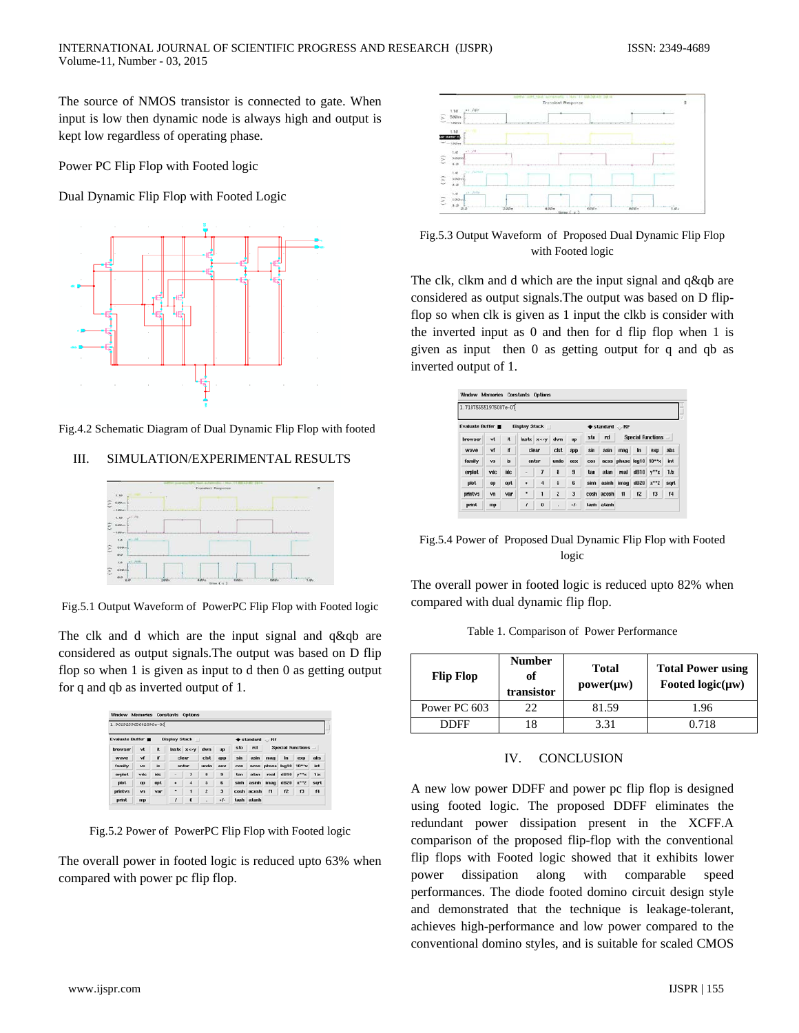The source of NMOS transistor is connected to gate. When input is low then dynamic node is always high and output is kept low regardless of operating phase.

Power PC Flip Flop with Footed logic

Dual Dynamic Flip Flop with Footed Logic



Fig.4.2 Schematic Diagram of Dual Dynamic Flip Flop with footed

# III. SIMULATION/EXPERIMENTAL RESULTS



Fig.5.1 Output Waveform of PowerPC Flip Flop with Footed logic

The clk and d which are the input signal and q&qb are considered as output signals.The output was based on D flip flop so when 1 is given as input to d then 0 as getting output for q and qb as inverted output of 1.

| 1.962925965682096e-06    |      |           |                      |            |                |            |            |                              |                                                      |             |               |             |
|--------------------------|------|-----------|----------------------|------------|----------------|------------|------------|------------------------------|------------------------------------------------------|-------------|---------------|-------------|
| <b>Evaluate Buffer M</b> |      |           | <b>Display Stack</b> | m          |                |            |            | $*$ standard $\therefore$ RF |                                                      |             |               |             |
| browser                  | vt   | n         | lastx                | <b>XKY</b> | dwn            | up         | sto        | rcl                          | <b>Special Functions</b><br>$\overline{\phantom{a}}$ |             |               |             |
| wave                     | vf   | <b>if</b> | clear<br>enter       |            | cist<br>undo   | арр<br>eex | sin<br>cos | asin                         | mag<br>acos phase log10 10**x                        | m           | exp           | abs<br>int. |
| family                   | vs   | <b>in</b> |                      |            |                |            |            |                              |                                                      |             |               |             |
| erplot                   | vdc  | idc.      | ٠                    | 7          | 8              | 9          | tan        | atan                         | real                                                 | d010        | $V^*K$        | 1/x         |
| plot                     | op   | opt       | ٠                    | 4          | 5              | 6          | sinh       | asinh                        | imag                                                 | <b>dB20</b> | $x^{\star}$ 2 | sqrt        |
| printvs                  | $wn$ | Visr      | ٠                    |            | $\overline{z}$ | з          | cosh       | acosh                        | $\mathbf{r}$                                         | 12          | 13            | 14          |
| print                    | mp   |           | ,                    | $\Omega$   | ٠              | $\bullet$  | tanh       | atanh                        |                                                      |             |               |             |

Fig.5.2 Power of PowerPC Flip Flop with Footed logic

The overall power in footed logic is reduced upto 63% when compared with power pc flip flop.



Fig.5.3 Output Waveform of Proposed Dual Dynamic Flip Flop with Footed logic

The clk, clkm and d which are the input signal and q&qb are considered as output signals.The output was based on D flipflop so when clk is given as 1 input the clkb is consider with the inverted input as 0 and then for d flip flop when 1 is given as input then 0 as getting output for q and qb as inverted output of 1.

| 1.718755551975087e-07 |     |           |               |                |                |     |      |                                    |                          |                 |        |                |
|-----------------------|-----|-----------|---------------|----------------|----------------|-----|------|------------------------------------|--------------------------|-----------------|--------|----------------|
| Evaluate Buffer       |     |           | Display Stack |                |                |     |      | $\blacklozenge$ standard $\Box$ RF |                          |                 |        |                |
| browser               | vt  | it        |               | lastx x<>v     | dwn            | up  | sto  | rel                                | <b>Special Functions</b> |                 |        |                |
| waye                  | vf  | if.       |               | clear          | cist           | арр | sin  | asin                               | mag                      | <b>In</b>       | $\exp$ | abs            |
| family                | VS. | <b>is</b> | enter         |                | undo           | eex | cos  |                                    | acos phase log10 10**x   |                 |        | int            |
| erplot                | vdc | idc       |               | 7              | 8              | 9   | tan  | atan                               | real                     | dB10 y**x       |        | 1/x            |
| plot                  | op  | opt       | ٠             | $\overline{4}$ | 5              | 6   | sinh |                                    | asinh imag               | $dB20 \times 2$ |        | sart           |
| printvs               | vn  | var       | ٠             | ı              | $\overline{c}$ | 3   |      | cosh acosh                         | $\mathbf{I}$             | 12              | 13     | f <sub>4</sub> |
| print                 | mp  |           | f             | $\bf{0}$       |                | ÷F- |      | tanh atanh                         |                          |                 |        |                |

Fig.5.4 Power of Proposed Dual Dynamic Flip Flop with Footed logic

The overall power in footed logic is reduced upto 82% when compared with dual dynamic flip flop.

Table 1. Comparison of Power Performance

| <b>Flip Flop</b> | <b>Number</b><br>of<br>transistor | Total<br>$power(\mu w)$ | <b>Total Power using</b><br>Footed $logic(\mu w)$ |  |  |  |
|------------------|-----------------------------------|-------------------------|---------------------------------------------------|--|--|--|
| Power PC 603     | 22                                | 81.59                   | 1.96                                              |  |  |  |
| <b>DDEE</b>      | 8.                                | 3.31                    | 0.718                                             |  |  |  |

### IV. CONCLUSION

A new low power DDFF and power pc flip flop is designed using footed logic. The proposed DDFF eliminates the redundant power dissipation present in the XCFF.A comparison of the proposed flip-flop with the conventional flip flops with Footed logic showed that it exhibits lower power dissipation along with comparable speed performances. The diode footed domino circuit design style and demonstrated that the technique is leakage-tolerant, achieves high-performance and low power compared to the conventional domino styles, and is suitable for scaled CMOS